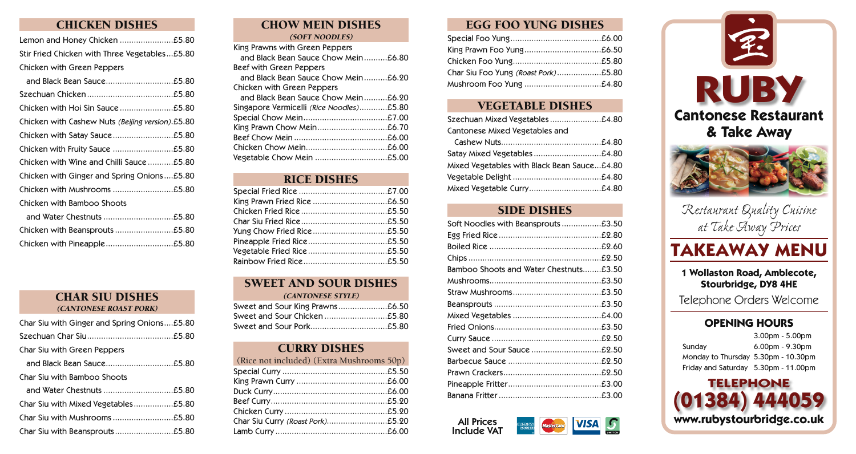## CHICKEN DISHES

Lemon and Honey Chicken ...........................£5.80 Stir Fried Chicken with Three Vegetables...£5.80 Chicken with Green Peppers

CHAR SIU DISHES (CANTONESE ROAST PORK)

| Char Siu with Ginger and Spring Onions£5.80 |
|---------------------------------------------|
|                                             |
| Char Siu with Green Peppers                 |
|                                             |
| Char Siu with Bamboo Shoots                 |
|                                             |
|                                             |
|                                             |
|                                             |

#### CHOW MEIN DISHES (SOFT NOODLES)

| King Prawns with Green Peppers           |  |
|------------------------------------------|--|
| and Black Bean Sauce Chow Mein£6.80      |  |
| Beef with Green Peppers                  |  |
| and Black Bean Sauce Chow Mein£6.20      |  |
| Chicken with Green Peppers               |  |
| and Black Bean Sauce Chow Mein£6.20      |  |
| Singapore Vermicelli (Rice Noodles)£5.80 |  |
|                                          |  |
|                                          |  |
|                                          |  |
|                                          |  |
| Vegetable Chow Mein £5.00                |  |
|                                          |  |

| <b>RICE DISHES</b> |  |
|--------------------|--|
|                    |  |
|                    |  |
|                    |  |
|                    |  |
|                    |  |
|                    |  |
|                    |  |
|                    |  |

## SWEET AND SOUR DISHES

|  | (CANTONESE STYLE) |  |
|--|-------------------|--|
|  |                   |  |

| Sweet and Sour King Prawns£6.50 |  |
|---------------------------------|--|
|                                 |  |
|                                 |  |

| <b>CURRY DISHES</b>                       |  |
|-------------------------------------------|--|
| (Rice not included) (Extra Mushrooms 50p) |  |
|                                           |  |
|                                           |  |
|                                           |  |
|                                           |  |
|                                           |  |
|                                           |  |
|                                           |  |

## EGG FOO YUNG DISHES

| Char Siu Foo Yung (Roast Pork)£5.80 |  |
|-------------------------------------|--|
| Mushroom Foo Yung £4.80             |  |

## VEGETABLE DISHES

| Szechuan Mixed Vegetables£4.80              |
|---------------------------------------------|
| Cantonese Mixed Vegetables and              |
|                                             |
| Satay Mixed Vegetables£4.80                 |
| Mixed Vegetables with Black Bean Sauce£4.80 |
|                                             |
|                                             |

### SIDE DISHES

| Soft Noodles with Beansprouts£3.50     |  |
|----------------------------------------|--|
|                                        |  |
|                                        |  |
|                                        |  |
| Bamboo Shoots and Water Chestnuts£3.50 |  |
|                                        |  |
|                                        |  |
|                                        |  |
|                                        |  |
|                                        |  |
|                                        |  |
| Sweet and Sour Sauce £2.50             |  |
|                                        |  |
|                                        |  |
|                                        |  |
|                                        |  |
|                                        |  |





# **TAKEAWAY MENU**

**1 Wollaston Road, Amblecote, Stourbridge, DY8 4HE**

Telephone Orders Welcome

## **OPENING HOURS**

|                                      | $3.00pm - 5.00pm$  |
|--------------------------------------|--------------------|
| Sunday                               | $6.00$ pm - 9.30pm |
| Monday to Thursday 5.30pm - 10.30pm  |                    |
| Friday and Saturday 5.30pm - 11.00pm |                    |